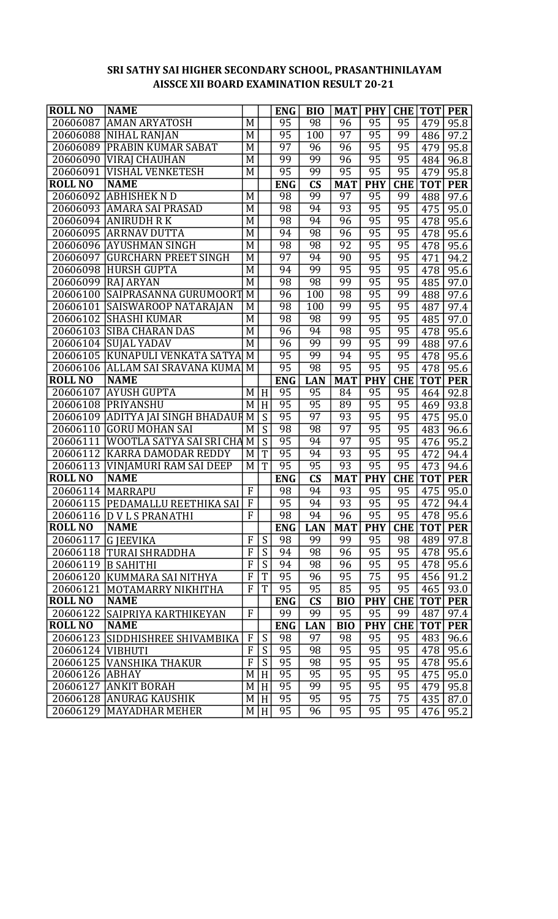## SRI SATHY SAI HIGHER SECONDARY SCHOOL, PRASANTHINILAYAM AISSCE XII BOARD EXAMINATION RESULT 20-21

| <b>ROLL NO</b>             | <b>NAME</b>                     |                |                | <b>ENG</b>      | <b>BIO</b>             | <b>MAT</b>            | <b>PHY</b>      | <b>CHE</b>      | <b>TOT</b>       | <b>PER</b> |
|----------------------------|---------------------------------|----------------|----------------|-----------------|------------------------|-----------------------|-----------------|-----------------|------------------|------------|
| 20606087                   | <b>AMAN ARYATOSH</b>            | $\overline{M}$ |                | 95              | 98                     | 96                    | 95              | 95              | 479              | 95.8       |
| 20606088                   | <b>NIHAL RANJAN</b>             | M              |                | 95              | 100                    | 97                    | $\overline{95}$ | 99              | 486              | 97.2       |
| 20606089                   | <b>PRABIN KUMAR SABAT</b>       | M              |                | 97              | 96                     | 96                    | 95              | 95              | 479              | 95.8       |
| 20606090                   | <b>VIRAJ CHAUHAN</b>            | M              |                | 99              | 99                     | 96                    | $\overline{95}$ | $\overline{95}$ | 484              | 96.8       |
| 20606091                   | <b>VISHAL VENKETESH</b>         | M              |                | $\overline{95}$ | 99                     | $\overline{95}$       | $\overline{95}$ | $\overline{95}$ | 479              | 95.8       |
| <b>ROLL NO</b>             | <b>NAME</b>                     |                |                | <b>ENG</b>      | $\mathbf{C}\mathbf{S}$ | <b>MAT</b>            | <b>PHY</b>      | <b>CHE</b>      | <b>TOT</b>       | <b>PER</b> |
| 20606092                   | <b>ABHISHEK N D</b>             | $\overline{M}$ |                | 98              | 99                     | 97                    | 95              | 99              | 488              | 97.6       |
| 20606093                   | <b>AMARA SAI PRASAD</b>         | M              |                | 98              | 94                     | 93                    | 95              | $\overline{95}$ | 475              | 95.0       |
| 20606094                   | <b>ANIRUDH R K</b>              | $\overline{M}$ |                | 98              | 94                     | 96                    | $\overline{95}$ | $\overline{95}$ | 478              | 95.6       |
| 20606095                   | <b>ARRNAV DUTTA</b>             | $\overline{M}$ |                | 94              | $\overline{98}$        | $\overline{96}$       | $\overline{95}$ | $\overline{95}$ | 478              | 95.6       |
| 20606096                   | <b>AYUSHMAN SINGH</b>           | $\overline{M}$ |                | 98              | 98                     | 92                    | $\overline{95}$ | 95              | 478              | 95.6       |
| 20606097                   | <b>GURCHARN PREET SINGH</b>     | M              |                | 97              | 94                     | 90                    | $\overline{95}$ | $\overline{95}$ | $\overline{471}$ | 94.2       |
| 20606098                   | <b>HURSH GUPTA</b>              | $\overline{M}$ |                | 94              | 99                     | 95                    | 95              | $\overline{95}$ | 478              | 95.6       |
|                            | 20606099 RAJ ARYAN              | $\overline{M}$ |                | 98              | 98                     | 99                    | 95              | $\overline{95}$ | 485              | 97.0       |
| 20606100                   | SAIPRASANNA GURUMOORT           | $\overline{M}$ |                | 96              | 100                    | $\overline{98}$       | $\overline{95}$ | 99              | 488              | 97.6       |
| 20606101                   | <b>SAISWAROOP NATARAJAN</b>     | M              |                | 98              | $\overline{100}$       | 99                    | 95              | 95              | 487              | 97.4       |
| 20606102                   | <b>SHASHI KUMAR</b>             | $\overline{M}$ |                | 98              | 98                     | 99                    | 95              | $\overline{95}$ | 485              | 97.0       |
| 20606103                   | <b>SIBA CHARAN DAS</b>          | M              |                | 96              | 94                     | 98                    | $\overline{95}$ | $\overline{95}$ | 478              | 95.6       |
| 20606104                   | <b>SUJAL YADAV</b>              | $\overline{M}$ |                | 96              | 99                     | 99                    | 95              | 99              | 488              | 97.6       |
| 20606105                   | KUNAPULI VENKATA SATYA          | $\overline{M}$ |                | 95              | 99                     | 94                    | $\overline{95}$ | $\overline{95}$ | 478              | 95.6       |
| 20606106                   | <b>ALLAM SAI SRAVANA KUMA</b>   | $\overline{M}$ |                | 95              | 98                     | $\overline{95}$       | $\overline{95}$ | $\overline{95}$ | 478              | 95.6       |
| <b>ROLL NO</b>             | <b>NAME</b>                     |                |                | <b>ENG</b>      | <b>LAN</b>             | <b>MAT</b>            | <b>PHY</b>      | <b>CHE</b>      | <b>TOT</b>       | <b>PER</b> |
| 20606107                   | <b>AYUSH GUPTA</b>              | M              | H              | 95              | 95                     | $\overline{84}$       | $\overline{95}$ | 95              | 464              | 92.8       |
| 20606108                   | <b>PRIYANSHU</b>                | M              | H              | 95              | $\overline{95}$        | 89                    | $\overline{95}$ | $\overline{95}$ | 469              | 93.8       |
| 20606109                   | <b>ADITYA JAI SINGH BHADAUR</b> | $\overline{M}$ | $\overline{S}$ | 95              | $\overline{97}$        | 93                    | 95              | $\overline{95}$ | 475              | 95.0       |
| 20606110                   | <b>GORU MOHAN SAI</b>           | $\overline{M}$ | $\overline{s}$ | 98              | 98                     | $\overline{97}$       | 95              | $\overline{95}$ | 483              | 96.6       |
| 20606111                   | WOOTLA SATYA SAI SRI CHA        | $\overline{M}$ | $\overline{S}$ | 95              | 94                     | $\overline{97}$       | $\overline{95}$ | $\overline{95}$ | 476              | 95.2       |
| 20606112                   | KARRA DAMODAR REDDY             | M              | T              | 95              | 94                     | 93                    | 95              | 95              | 472              | 94.4       |
| 20606113                   | VINJAMURI RAM SAI DEEP          | M              | T              | 95              | $\overline{95}$        | 93                    | 95              | 95              | 473              | 94.6       |
| <b>ROLL NO</b>             | <b>NAME</b>                     |                |                | <b>ENG</b>      | $\mathbf{C}\mathbf{S}$ | <b>MAT</b>            | <b>PHY</b>      | <b>CHE</b>      | <b>TOT</b>       | <b>PER</b> |
| 20606114                   | <b>MARRAPU</b>                  | $\mathbf{F}$   |                | 98              | 94                     | 93                    | 95              | 95              | 475              | 95.0       |
| 20606115                   | <b>PEDAMALLU REETHIKA SAI</b>   | $\overline{F}$ |                | 95              | 94                     | 93                    | 95              | 95              | 472              | 94.4       |
|                            | 20606116 D V L S PRANATHI       | F              |                | 98              | 94                     | 96                    | 95              | 95              | 478              | 95.6       |
| <b>ROLL NO</b>             | <b>NAME</b>                     |                |                | <b>ENG</b>      | <b>LAN</b>             | <b>MAT</b>            | <b>PHY</b>      | <b>CHE</b>      | <b>TOT</b>       | <b>PER</b> |
| 20606117 G JEEVIKA         |                                 | $\mathbf{F}$   | ${\mathsf S}$  | 98              | 99                     | 99                    | 95              | 98              | 489              | 97.8       |
|                            | 20606118 TURAI SHRADDHA         | F              | S              | 94              | 98                     | 96                    | 95              | 95              | 478              | 95.6       |
|                            | 20606119 B SAHITHI              | $\overline{F}$ | $\overline{S}$ | 94              | 98                     | 96                    | 95              | 95              | 478              | 95.6       |
| 20606120                   | KUMMARA SAI NITHYA              | F              | T              | 95              | 96                     | 95                    | 75              | 95              | 456              | 91.2       |
| 20606121                   | MOTAMARRY NIKHITHA              | $\overline{F}$ | $\overline{T}$ | 95              | 95                     | 85                    | 95              | 95              | 465              | 93.0       |
| <b>ROLL NO</b>             | <b>NAME</b>                     |                |                | <b>ENG</b>      | $\mathbf{C}\mathbf{S}$ | <b>BIO</b>            | <b>PHY</b>      | <b>CHE</b>      | <b>TOT</b>       | <b>PER</b> |
| 20606122                   | SAIPRIYA KARTHIKEYAN            | $\mathbf{F}$   |                | 99              | 99                     | 95                    | 95              | 99              | 487              | 97.4       |
| <b>ROLL NO</b>             | <b>NAME</b>                     |                |                | <b>ENG</b>      | <b>LAN</b>             | BI <sub>0</sub>       | <b>PHY</b>      | <b>CHE</b>      | <b>TOT</b>       | <b>PER</b> |
| 20606123                   | SIDDHISHREE SHIVAMBIKA          | $\mathbf{F}$   | S              | 98              | 97                     | 98                    | 95              | 95              | 483              | 96.6       |
| 20606124   VIBHUTI         |                                 | $\overline{F}$ | S              | 95              | 98                     | 95                    | 95              | 95              | 478              | 95.6       |
|                            | 20606125 VANSHIKA THAKUR        | F<br>M         | S              | 95<br>95        | 98<br>$\overline{95}$  | 95<br>$\overline{95}$ | 95<br>95        | 95<br>95        | 478              | 95.6       |
| 20606126 ABHAY<br>20606127 | <b>ANKIT BORAH</b>              | M              | H              | 95              | 99                     | 95                    | 95              | 95              | 475              | 95.0       |
| 20606128                   | <b>ANURAG KAUSHIK</b>           | M              | H              | $\overline{95}$ | $\overline{95}$        | $\overline{95}$       | $\overline{75}$ | $\overline{75}$ | 479              | 95.8       |
| 20606129                   | <b>MAYADHAR MEHER</b>           | M              | H              | $\overline{95}$ | 96                     | $\overline{95}$       | $\overline{95}$ | $\overline{95}$ | 435              | 87.0       |
|                            |                                 |                | H              |                 |                        |                       |                 |                 | 476              | 95.2       |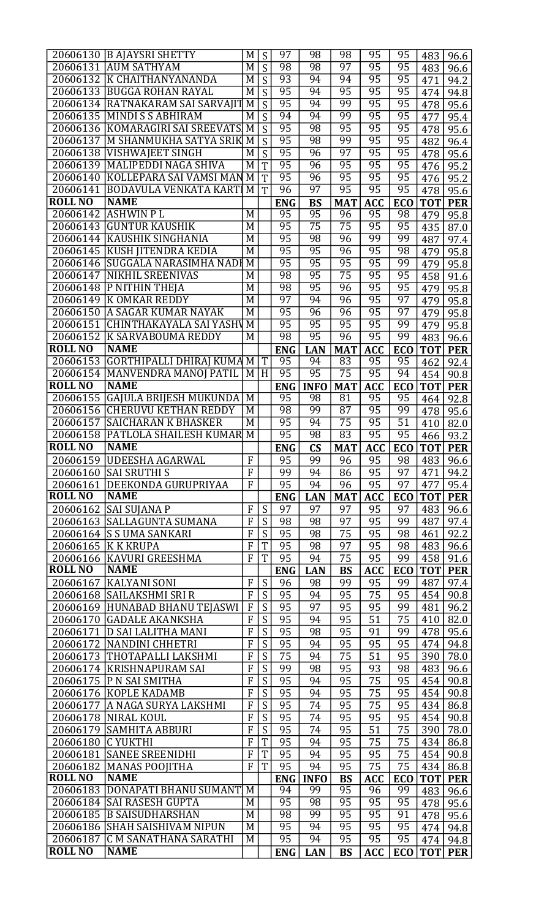|                | 20606130 B AJAYSRI SHETTY        | M              | S                     | $\overline{97}$ | 98                     | 98              | $\overline{95}$ | 95              | 483        | 96.6       |
|----------------|----------------------------------|----------------|-----------------------|-----------------|------------------------|-----------------|-----------------|-----------------|------------|------------|
| 20606131       | <b>AUM SATHYAM</b>               | M              | S                     | 98              | 98                     | 97              | 95              | $\overline{95}$ | 483        | 96.6       |
| 20606132       | <b>K CHAITHANYANANDA</b>         | $\overline{M}$ | S                     | 93              | 94                     | 94              | 95              | 95              | 471        | 94.2       |
| 20606133       | <b>BUGGA ROHAN RAYAL</b>         | $\overline{M}$ | $\overline{S}$        | 95              | 94                     | $\overline{95}$ | 95              | 95              | 474        | 94.8       |
| 20606134       | RATNAKARAM SAI SARVAJIT          | $\overline{M}$ | $\overline{S}$        | 95              | 94                     | 99              | 95              | 95              | 478        | 95.6       |
| 20606135       | <b>MINDI S S ABHIRAM</b>         | M              | S                     | 94              | 94                     | 99              | $\overline{95}$ | 95              | 477        | 95.4       |
| 20606136       | <b>KOMARAGIRI SAI SREEVATS</b>   | $\overline{M}$ | $\overline{S}$        | 95              | 98                     | 95              | $\overline{95}$ | $\overline{95}$ | 478        | 95.6       |
| 20606137       | M SHANMUKHA SATYA SRIK           | M              | $\overline{S}$        | 95              | 98                     | 99              | $\overline{95}$ | 95              | 482        | 96.4       |
| 20606138       | <b>VISHWAJEET SINGH</b>          | M              | $\overline{S}$        | 95              | 96                     | $\overline{97}$ | 95              | $\overline{95}$ | 478        | 95.6       |
| 20606139       | <b>MALIPEDDI NAGA SHIVA</b>      | M              | $\overline{T}$        | 95              | 96                     | 95              | 95              | 95              | 476        | 95.2       |
| 20606140       | KOLLEPARA SAI VAMSI MAN          | $\overline{M}$ | $\overline{T}$        | 95              | 96                     | 95              | 95              | 95              | 476        | 95.2       |
| 20606141       | <b>BODAVULA VENKATA KART</b>     | M              | $\overline{T}$        | 96              | $\overline{97}$        | 95              | 95              | 95              | 478        | 95.6       |
| <b>ROLL NO</b> | <b>NAME</b>                      |                |                       | <b>ENG</b>      | <b>BS</b>              | <b>MAT</b>      | <b>ACC</b>      | <b>ECO</b>      | <b>TOT</b> | <b>PER</b> |
| 20606142       | <b>ASHWIN PL</b>                 | M              |                       | $\overline{95}$ | 95                     | 96              | 95              | 98              | 479        | 95.8       |
| 20606143       | <b>GUNTUR KAUSHIK</b>            | M              |                       | $\overline{95}$ | $\overline{75}$        | $\overline{75}$ | 95              | 95              | 435        | 87.0       |
| 20606144       | <b>KAUSHIK SINGHANIA</b>         | $\overline{M}$ |                       | 95              | 98                     | 96              | 99              | 99              | 487        | 97.4       |
|                | 20606145 KUSH JITENDRA KEDIA     | $\overline{M}$ |                       | 95              | $\overline{95}$        | 96              | 95              | 98              | 479        | 95.8       |
| 20606146       | SUGGALA NARASIMHA NADI           | $\overline{M}$ |                       | 95              | $\overline{95}$        | 95              | 95              | 99              | 479        | 95.8       |
| 20606147       | <b>NIKHIL SREENIVAS</b>          | M              |                       | 98              | $\overline{95}$        | $\overline{75}$ | 95              | $\overline{95}$ | 458        | 91.6       |
| 20606148       | <b>P NITHIN THEJA</b>            | M              |                       | 98              | $\overline{95}$        | 96              | $\overline{95}$ | 95              | 479        | 95.8       |
|                | 20606149 K OMKAR REDDY           | M              |                       | 97              | 94                     | 96              | $\overline{95}$ | $\overline{97}$ | 479        | 95.8       |
| 20606150       | A SAGAR KUMAR NAYAK              | $\overline{M}$ |                       | 95              | 96                     | 96              | 95              | $\overline{97}$ | 479        | 95.8       |
| 20606151       | <b>CHINTHAKAYALA SAI YASHV</b>   | M              |                       | 95              | 95                     | 95              | 95              | 99              | 479        | 95.8       |
| 20606152       | <b>K SARVABOUMA REDDY</b>        | $\overline{M}$ |                       | 98              | $\overline{95}$        | 96              | 95              | 99              | 483        | 96.6       |
| <b>ROLL NO</b> | <b>NAME</b>                      |                |                       | <b>ENG</b>      | <b>LAN</b>             | <b>MAT</b>      | <b>ACC</b>      | <b>ECO</b>      | <b>TOT</b> | <b>PER</b> |
| 20606153       | <b>GORTHIPALLI DHIRAJ KUMA M</b> |                | $\overline{\text{T}}$ | 95              | 94                     | 83              | 95              | 95              | 462        | 92.4       |
| 20606154       | <b>MANVENDRA MANOJ PATIL</b>     | M              | H                     | 95              | 95                     | $\overline{75}$ | 95              | 94              | 454        | 90.8       |
| <b>ROLL NO</b> | <b>NAME</b>                      |                |                       | <b>ENG</b>      | <b>INFO</b>            | <b>MAT</b>      | <b>ACC</b>      | <b>ECO</b>      | <b>TOT</b> | <b>PER</b> |
| 20606155       | <b>GAJULA BRIJESH MUKUNDA</b>    | $\overline{M}$ |                       | 95              | 98                     | $\overline{81}$ | 95              | 95              | 464        | 92.8       |
| 20606156       | <b>CHERUVU KETHAN REDDY</b>      | $\overline{M}$ |                       | 98              | 99                     | $\overline{87}$ | $\overline{95}$ | 99              | 478        | 95.6       |
| 20606157       | <b>SAICHARAN K BHASKER</b>       | M              |                       | 95              | 94                     | $\overline{75}$ | 95              | $\overline{51}$ | 410        | 82.0       |
| 20606158       | PATLOLA SHAILESH KUMAR           | $\overline{M}$ |                       | 95              | 98                     | 83              | 95              | 95              | 466        | 93.2       |
| <b>ROLL NO</b> | <b>NAME</b>                      |                |                       | <b>ENG</b>      | $\mathbf{C}\mathbf{S}$ | <b>MAT</b>      | <b>ACC</b>      | <b>ECO</b>      | <b>TOT</b> | <b>PER</b> |
|                | 20606159 UDEESHA AGARWAL         | $\overline{F}$ |                       | 95              | 99                     | 96              | 95              | 98              | 483        | 96.6       |
| 20606160       | <b>SAI SRUTHI S</b>              | $\overline{F}$ |                       | 99              | 94                     | 86              | 95              | 97              | 471        | 94.2       |
| 20606161       | DEEKONDA GURUPRIYAA              | $\overline{F}$ |                       | 95              | 94                     | 96              | 95              | 97              | 477        | 95.4       |
| <b>ROLL NO</b> | <b>NAME</b>                      |                |                       | <b>ENG</b>      | <b>LAN</b>             | <b>MAT</b>      | <b>ACC</b>      | <b>ECO</b>      | <b>TOT</b> | <b>PER</b> |
| 20606162       | <b>SAI SUJANA P</b>              | F              | S                     | 97              | 97                     | 97              | 95              | 97              | 483        | 96.6       |
|                | 20606163  SALLAGUNTA SUMANA      | F              | S                     | 98              | 98                     | 97              | 95              | 99              | 487        | 97.4       |
| 20606164       | <b>S S UMA SANKARI</b>           | $\overline{F}$ | S                     | 95              | 98                     | 75              | 95              | 98              | 461        | 92.2       |
| 20606165       | K K KRUPA                        | $\overline{F}$ | T                     | 95              | 98                     | 97              | 95              | 98              | 483        | 96.6       |
| 20606166       | KAVURI GREESHMA                  | F              | T                     | 95              | 94                     | 75              | 95              | 99              | 458        | 91.6       |
| <b>ROLL NO</b> | <b>NAME</b>                      |                |                       | <b>ENG</b>      | <b>LAN</b>             | <b>BS</b>       | <b>ACC</b>      | <b>ECO</b>      | <b>TOT</b> | <b>PER</b> |
| 20606167       | <b>KALYANI SONI</b>              | F              | S                     | 96              | 98                     | 99              | 95              | 99              | 487        | 97.4       |
| 20606168       | SAILAKSHMI SRI R                 | F              | $\overline{S}$        | 95              | 94                     | 95              | 75              | 95              | 454        | 90.8       |
| 20606169       | HUNABAD BHANU TEJASWI            | F              | $\overline{S}$        | 95              | 97                     | 95              | 95              | 99              | 481        | 96.2       |
| 20606170       | <b>GADALE AKANKSHA</b>           | F              | S                     | 95              | 94                     | 95              | 51              | 75              | 410        | 82.0       |
| 20606171       | D SAI LALITHA MANI               | $\overline{F}$ | $\overline{S}$        | 95              | 98                     | 95              | 91              | 99              | 478        | 95.6       |
| 20606172       | <b>NANDINI CHHETRI</b>           | $\overline{F}$ | $\overline{S}$        | 95              | 94                     | 95              | 95              | 95              | 474        | 94.8       |
| 20606173       | THOTAPALLI LAKSHMI               | F              | $\overline{S}$        | 75              | 94                     | 75              | 51              | 95              | 390        | 78.0       |
| 20606174       | <b>KRISHNAPURAM SAI</b>          | F              | S                     | 99              | 98                     | 95              | 93              | 98              | 483        | 96.6       |
| 20606175       | P N SAI SMITHA                   | F              | S                     | 95              | 94                     | 95              | 75              | 95              | 454        | 90.8       |
| 20606176       | KOPLE KADAMB                     | F              | S                     | 95              | 94                     | 95              | 75              | 95              | 454        | 90.8       |
| 20606177       | A NAGA SURYA LAKSHMI             | F              | S                     | 95              | 74                     | 95              | 75              | 95              | 434        | 86.8       |
| 20606178       | <b>NIRAL KOUL</b>                | F              | $\overline{S}$        | 95              | 74                     | 95              | 95              | 95              | 454        | 90.8       |
| 20606179       | <b>SAMHITA ABBURI</b>            | F              | $\overline{S}$        | 95              | 74                     | 95              | 51              | 75              | 390        | 78.0       |
| 20606180       | <b>C YUKTHI</b>                  | F              | T                     | 95              | 94                     | 95              | 75              | 75              | 434        | 86.8       |
| 20606181       | <b>SANEE SREENIDHI</b>           | $\mathbf F$    | T                     | 95              | 94                     | 95              | 95              | 75              | 454        | 90.8       |
| 20606182       | <b>MANAS POOJITHA</b>            | $\overline{F}$ | T                     | 95              | 94                     | 95              | 75              | 75              | 434        | 86.8       |
| <b>ROLL NO</b> | <b>NAME</b>                      |                |                       | <b>ENG</b>      | <b>INFO</b>            | <b>BS</b>       | <b>ACC</b>      | <b>ECO</b>      | <b>TOT</b> | <b>PER</b> |
| 20606183       | <b>DONAPATI BHANU SUMANT</b>     | M              |                       | 94              | 99                     | 95              | 96              | 99              | 483        | 96.6       |
| 20606184       | <b>SAI RASESH GUPTA</b>          | M              |                       | 95              | 98                     | 95              | 95              | 95              | 478        | 95.6       |
| 20606185       | <b>B SAISUDHARSHAN</b>           | M              |                       | 98              | 99                     | 95              | 95              | 91              | 478        | 95.6       |
| 20606186       | <b>SHAH SAISHIVAM NIPUN</b>      | M              |                       | $\overline{95}$ | 94                     | 95              | $\overline{95}$ | $\overline{95}$ | 474        | 94.8       |
| 20606187       | <b>C M SANATHANA SARATHI</b>     | M              |                       | 95              | 94                     | 95              | $\overline{95}$ | 95              | 474        | 94.8       |
|                | <b>NAME</b>                      |                |                       | <b>ENG</b>      | <b>LAN</b>             | <b>BS</b>       | <b>ACC</b>      | <b>ECO</b>      | <b>TOT</b> | <b>PER</b> |
| <b>ROLL NO</b> |                                  |                |                       |                 |                        |                 |                 |                 |            |            |